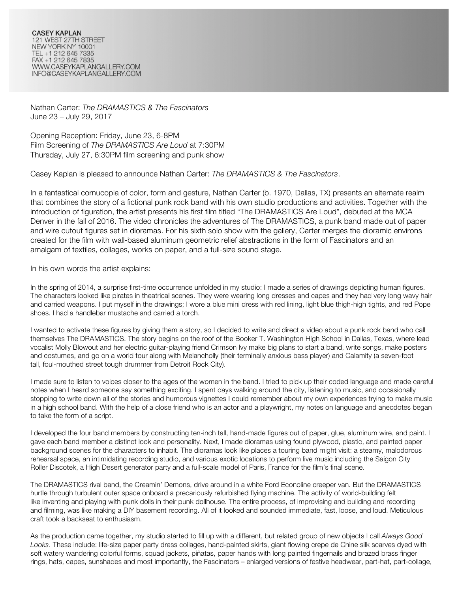Nathan Carter: *The DRAMASTICS & The Fascinators* June 23 – July 29, 2017

Opening Reception: Friday, June 23, 6-8PM Film Screening of *The DRAMASTICS Are Loud* at 7:30PM Thursday, July 27, 6:30PM film screening and punk show

Casey Kaplan is pleased to announce Nathan Carter: *The DRAMASTICS & The Fascinators*.

In a fantastical cornucopia of color, form and gesture, Nathan Carter (b. 1970, Dallas, TX) presents an alternate realm that combines the story of a fictional punk rock band with his own studio productions and activities. Together with the introduction of figuration, the artist presents his first film titled "The DRAMASTICS Are Loud", debuted at the MCA Denver in the fall of 2016. The video chronicles the adventures of The DRAMASTICS, a punk band made out of paper and wire cutout figures set in dioramas. For his sixth solo show with the gallery, Carter merges the dioramic environs created for the film with wall-based aluminum geometric relief abstractions in the form of Fascinators and an amalgam of textiles, collages, works on paper, and a full-size sound stage.

In his own words the artist explains:

In the spring of 2014, a surprise first-time occurrence unfolded in my studio: I made a series of drawings depicting human figures. The characters looked like pirates in theatrical scenes. They were wearing long dresses and capes and they had very long wavy hair and carried weapons. I put myself in the drawings; I wore a blue mini dress with red lining, light blue thigh-high tights, and red Pope shoes. I had a handlebar mustache and carried a torch.

I wanted to activate these figures by giving them a story, so I decided to write and direct a video about a punk rock band who call themselves The DRAMASTICS. The story begins on the roof of the Booker T. Washington High School in Dallas, Texas, where lead vocalist Molly Blowout and her electric guitar-playing friend Crimson Ivy make big plans to start a band, write songs, make posters and costumes, and go on a world tour along with Melancholly (their terminally anxious bass player) and Calamity (a seven-foot tall, foul-mouthed street tough drummer from Detroit Rock City).

I made sure to listen to voices closer to the ages of the women in the band. I tried to pick up their coded language and made careful notes when I heard someone say something exciting. I spent days walking around the city, listening to music, and occasionally stopping to write down all of the stories and humorous vignettes I could remember about my own experiences trying to make music in a high school band. With the help of a close friend who is an actor and a playwright, my notes on language and anecdotes began to take the form of a script.

I developed the four band members by constructing ten-inch tall, hand-made figures out of paper, glue, aluminum wire, and paint. I gave each band member a distinct look and personality. Next, I made dioramas using found plywood, plastic, and painted paper background scenes for the characters to inhabit. The dioramas look like places a touring band might visit: a steamy, malodorous rehearsal space, an intimidating recording studio, and various exotic locations to perform live music including the Saigon City Roller Discotek, a High Desert generator party and a full-scale model of Paris, France for the film's final scene.

The DRAMASTICS rival band, the Creamin' Demons, drive around in a white Ford Econoline creeper van. But the DRAMASTICS hurtle through turbulent outer space onboard a precariously refurbished flying machine. The activity of world-building felt like inventing and playing with punk dolls in their punk dollhouse. The entire process, of improvising and building and recording and filming, was like making a DIY basement recording. All of it looked and sounded immediate, fast, loose, and loud. Meticulous craft took a backseat to enthusiasm.

As the production came together, my studio started to fill up with a different, but related group of new objects I call *Always Good Looks*. These include: life-size paper party dress collages, hand-painted skirts, giant flowing crepe de Chine silk scarves dyed with soft watery wandering colorful forms, squad jackets, piñatas, paper hands with long painted fingernails and brazed brass finger rings, hats, capes, sunshades and most importantly, the Fascinators – enlarged versions of festive headwear, part-hat, part-collage,